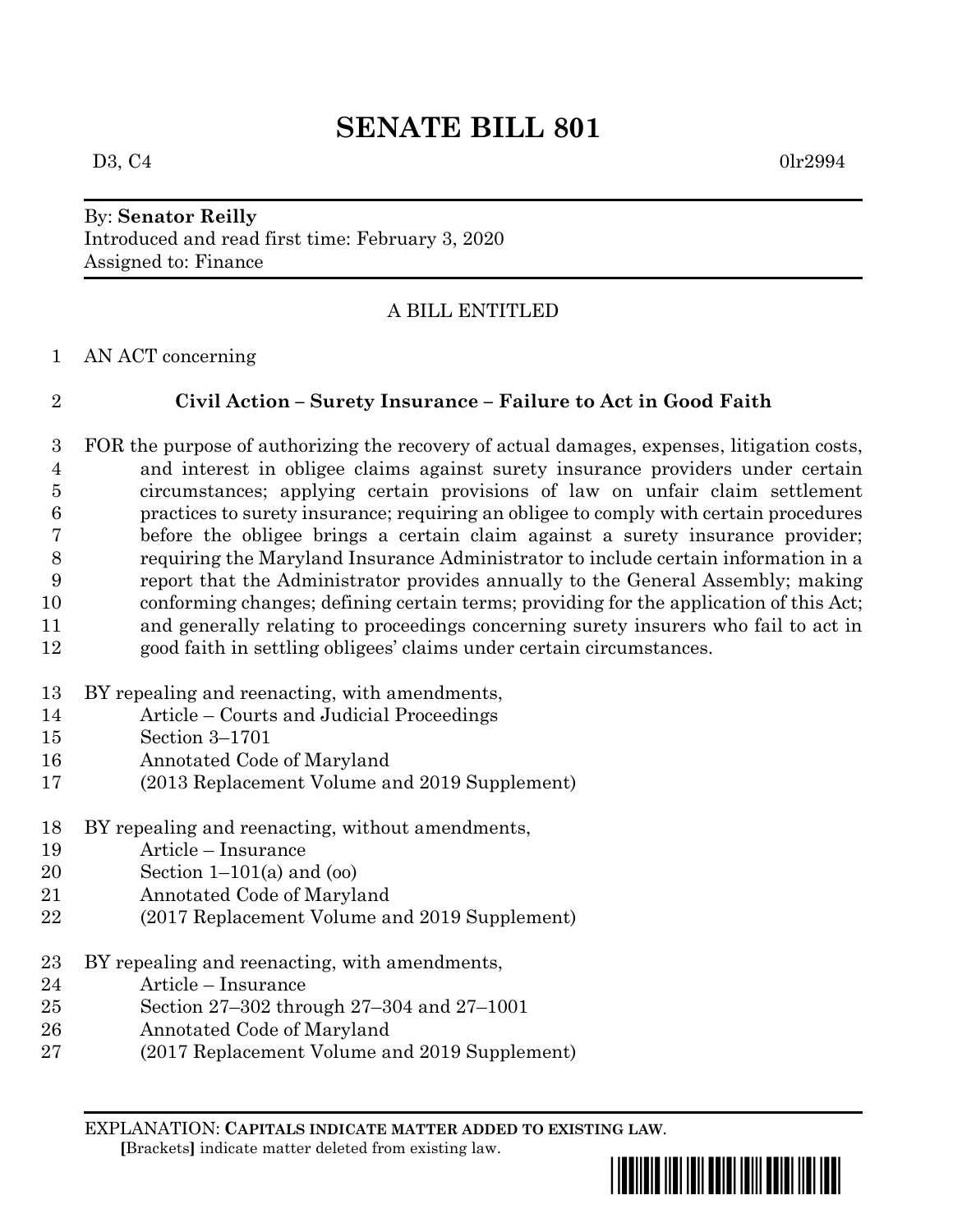## By: **Senator Reilly** Introduced and read first time: February 3, 2020 Assigned to: Finance

# A BILL ENTITLED

AN ACT concerning

# **Civil Action – Surety Insurance – Failure to Act in Good Faith**

 FOR the purpose of authorizing the recovery of actual damages, expenses, litigation costs, and interest in obligee claims against surety insurance providers under certain circumstances; applying certain provisions of law on unfair claim settlement practices to surety insurance; requiring an obligee to comply with certain procedures before the obligee brings a certain claim against a surety insurance provider; requiring the Maryland Insurance Administrator to include certain information in a report that the Administrator provides annually to the General Assembly; making conforming changes; defining certain terms; providing for the application of this Act; and generally relating to proceedings concerning surety insurers who fail to act in good faith in settling obligees' claims under certain circumstances.

- BY repealing and reenacting, with amendments,
- Article Courts and Judicial Proceedings
- Section 3–1701
- Annotated Code of Maryland
- (2013 Replacement Volume and 2019 Supplement)
- BY repealing and reenacting, without amendments,
- Article Insurance
- Section 1–101(a) and (oo)
- Annotated Code of Maryland
- (2017 Replacement Volume and 2019 Supplement)
- BY repealing and reenacting, with amendments,
- Article Insurance
- Section 27–302 through 27–304 and 27–1001
- Annotated Code of Maryland
- (2017 Replacement Volume and 2019 Supplement)

EXPLANATION: **CAPITALS INDICATE MATTER ADDED TO EXISTING LAW**.  **[**Brackets**]** indicate matter deleted from existing law.

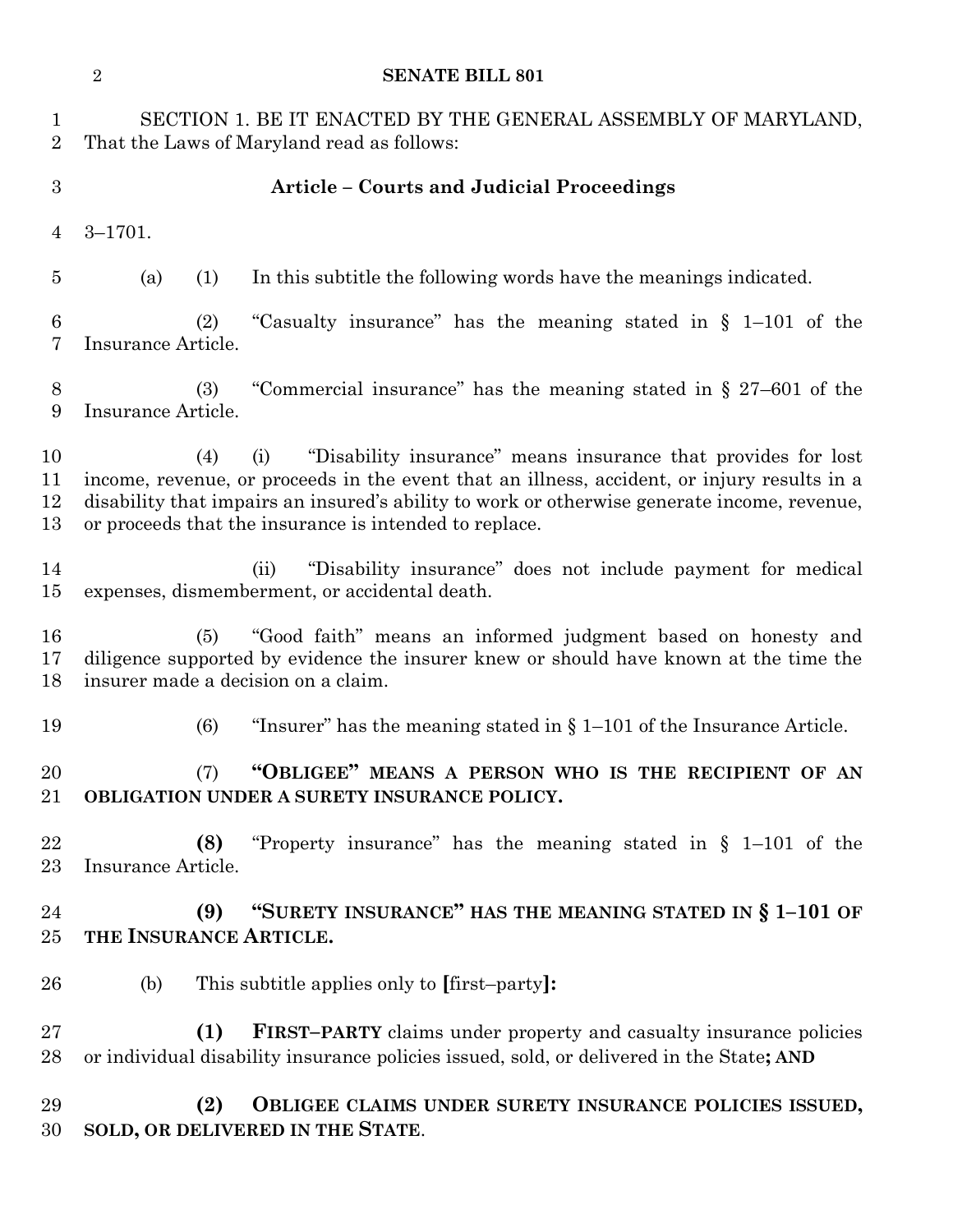|                                | $\overline{2}$                             | <b>SENATE BILL 801</b>                                                                                                                                                                                                                                                                                                       |
|--------------------------------|--------------------------------------------|------------------------------------------------------------------------------------------------------------------------------------------------------------------------------------------------------------------------------------------------------------------------------------------------------------------------------|
| $\mathbf{1}$<br>$\overline{2}$ |                                            | SECTION 1. BE IT ENACTED BY THE GENERAL ASSEMBLY OF MARYLAND,<br>That the Laws of Maryland read as follows:                                                                                                                                                                                                                  |
| 3                              |                                            | <b>Article - Courts and Judicial Proceedings</b>                                                                                                                                                                                                                                                                             |
| 4                              | $3 - 1701.$                                |                                                                                                                                                                                                                                                                                                                              |
| $\overline{5}$                 | (a)<br>(1)                                 | In this subtitle the following words have the meanings indicated.                                                                                                                                                                                                                                                            |
| 6<br>7                         | (2)<br>Insurance Article.                  | "Casualty insurance" has the meaning stated in $\S$ 1-101 of the                                                                                                                                                                                                                                                             |
| 8<br>9                         | (3)<br>Insurance Article.                  | "Commercial insurance" has the meaning stated in $\S 27-601$ of the                                                                                                                                                                                                                                                          |
| 10<br>11<br>12<br>13           | (4)                                        | "Disability insurance" means insurance that provides for lost<br>(i)<br>income, revenue, or proceeds in the event that an illness, accident, or injury results in a<br>disability that impairs an insured's ability to work or otherwise generate income, revenue,<br>or proceeds that the insurance is intended to replace. |
| 14<br>$15\,$                   |                                            | "Disability insurance" does not include payment for medical<br>(ii)<br>expenses, dismemberment, or accidental death.                                                                                                                                                                                                         |
| 16<br>17<br>18                 | (5)<br>insurer made a decision on a claim. | "Good faith" means an informed judgment based on honesty and<br>diligence supported by evidence the insurer knew or should have known at the time the                                                                                                                                                                        |
| 19                             | (6)                                        | "Insurer" has the meaning stated in $\S 1-101$ of the Insurance Article.                                                                                                                                                                                                                                                     |
| 20<br>21                       | (7)                                        | "OBLIGEE" MEANS A PERSON WHO IS THE RECIPIENT OF AN<br>OBLIGATION UNDER A SURETY INSURANCE POLICY.                                                                                                                                                                                                                           |
| 22<br>23                       | (8)<br>Insurance Article.                  | "Property insurance" has the meaning stated in $\S$ 1-101 of the                                                                                                                                                                                                                                                             |
| 24<br>25                       | (9)<br>THE INSURANCE ARTICLE.              | "SURETY INSURANCE" HAS THE MEANING STATED IN § 1-101 OF                                                                                                                                                                                                                                                                      |
| 26                             | (b)                                        | This subtitle applies only to [first-party]:                                                                                                                                                                                                                                                                                 |
| $27\,$<br>28                   | (1)                                        | <b>FIRST-PARTY</b> claims under property and casualty insurance policies<br>or individual disability insurance policies issued, sold, or delivered in the State; AND                                                                                                                                                         |
| 29<br>30                       | (2)                                        | OBLIGEE CLAIMS UNDER SURETY INSURANCE POLICIES ISSUED,<br>SOLD, OR DELIVERED IN THE STATE.                                                                                                                                                                                                                                   |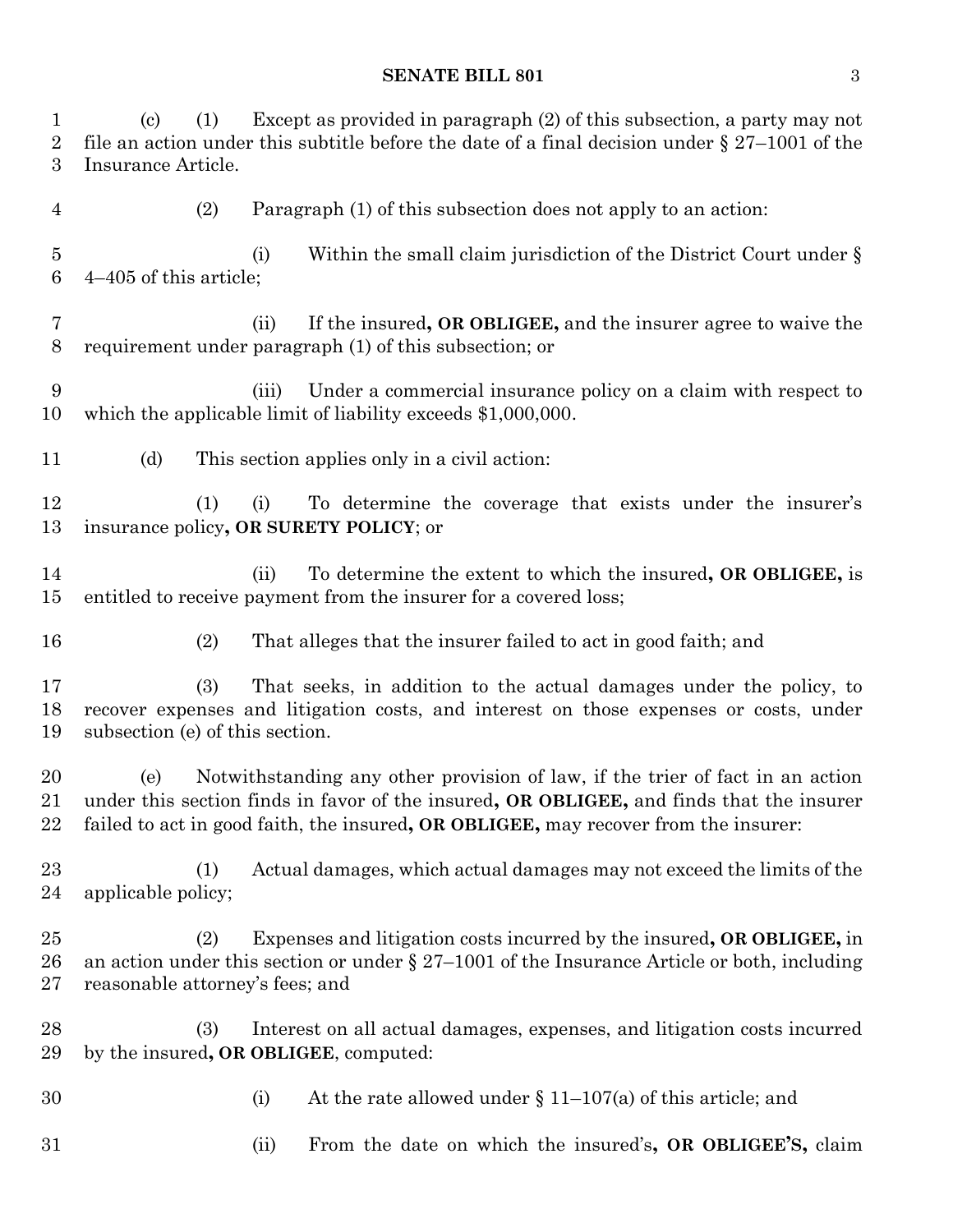(c) (1) Except as provided in paragraph (2) of this subsection, a party may not 2 file an action under this subtitle before the date of a final decision under  $\S 27-1001$  of the Insurance Article. (2) Paragraph (1) of this subsection does not apply to an action: (i) Within the small claim jurisdiction of the District Court under § 4–405 of this article; (ii) If the insured**, OR OBLIGEE,** and the insurer agree to waive the requirement under paragraph (1) of this subsection; or (iii) Under a commercial insurance policy on a claim with respect to which the applicable limit of liability exceeds \$1,000,000. (d) This section applies only in a civil action: (1) (i) To determine the coverage that exists under the insurer's insurance policy**, OR SURETY POLICY**; or (ii) To determine the extent to which the insured**, OR OBLIGEE,** is entitled to receive payment from the insurer for a covered loss; (2) That alleges that the insurer failed to act in good faith; and (3) That seeks, in addition to the actual damages under the policy, to recover expenses and litigation costs, and interest on those expenses or costs, under subsection (e) of this section. (e) Notwithstanding any other provision of law, if the trier of fact in an action under this section finds in favor of the insured**, OR OBLIGEE,** and finds that the insurer failed to act in good faith, the insured**, OR OBLIGEE,** may recover from the insurer: (1) Actual damages, which actual damages may not exceed the limits of the applicable policy; (2) Expenses and litigation costs incurred by the insured**, OR OBLIGEE,** in 26 an action under this section or under  $\S 27-1001$  of the Insurance Article or both, including reasonable attorney's fees; and (3) Interest on all actual damages, expenses, and litigation costs incurred by the insured**, OR OBLIGEE**, computed: 30 (i) At the rate allowed under  $\S 11-107(a)$  of this article; and (ii) From the date on which the insured's**, OR OBLIGEE'S,** claim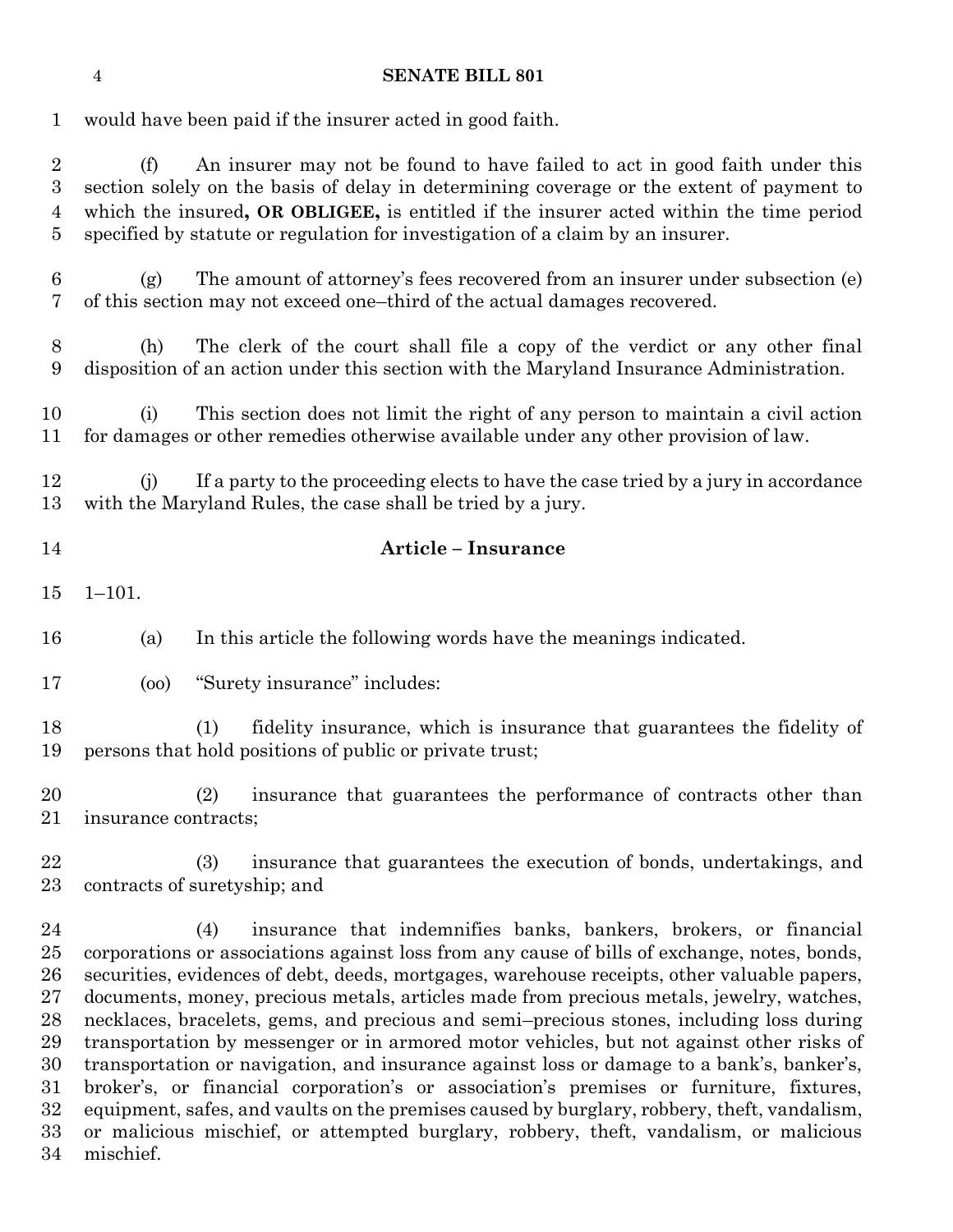would have been paid if the insurer acted in good faith.

 (f) An insurer may not be found to have failed to act in good faith under this section solely on the basis of delay in determining coverage or the extent of payment to which the insured**, OR OBLIGEE,** is entitled if the insurer acted within the time period specified by statute or regulation for investigation of a claim by an insurer.

 (g) The amount of attorney's fees recovered from an insurer under subsection (e) of this section may not exceed one–third of the actual damages recovered.

 (h) The clerk of the court shall file a copy of the verdict or any other final disposition of an action under this section with the Maryland Insurance Administration.

 (i) This section does not limit the right of any person to maintain a civil action for damages or other remedies otherwise available under any other provision of law.

 (j) If a party to the proceeding elects to have the case tried by a jury in accordance with the Maryland Rules, the case shall be tried by a jury.

## **Article – Insurance**

1–101.

(a) In this article the following words have the meanings indicated.

(oo) "Surety insurance" includes:

 (1) fidelity insurance, which is insurance that guarantees the fidelity of persons that hold positions of public or private trust;

 (2) insurance that guarantees the performance of contracts other than insurance contracts;

 (3) insurance that guarantees the execution of bonds, undertakings, and contracts of suretyship; and

 (4) insurance that indemnifies banks, bankers, brokers, or financial corporations or associations against loss from any cause of bills of exchange, notes, bonds, securities, evidences of debt, deeds, mortgages, warehouse receipts, other valuable papers, documents, money, precious metals, articles made from precious metals, jewelry, watches, necklaces, bracelets, gems, and precious and semi–precious stones, including loss during transportation by messenger or in armored motor vehicles, but not against other risks of transportation or navigation, and insurance against loss or damage to a bank's, banker's, broker's, or financial corporation's or association's premises or furniture, fixtures, equipment, safes, and vaults on the premises caused by burglary, robbery, theft, vandalism, or malicious mischief, or attempted burglary, robbery, theft, vandalism, or malicious mischief.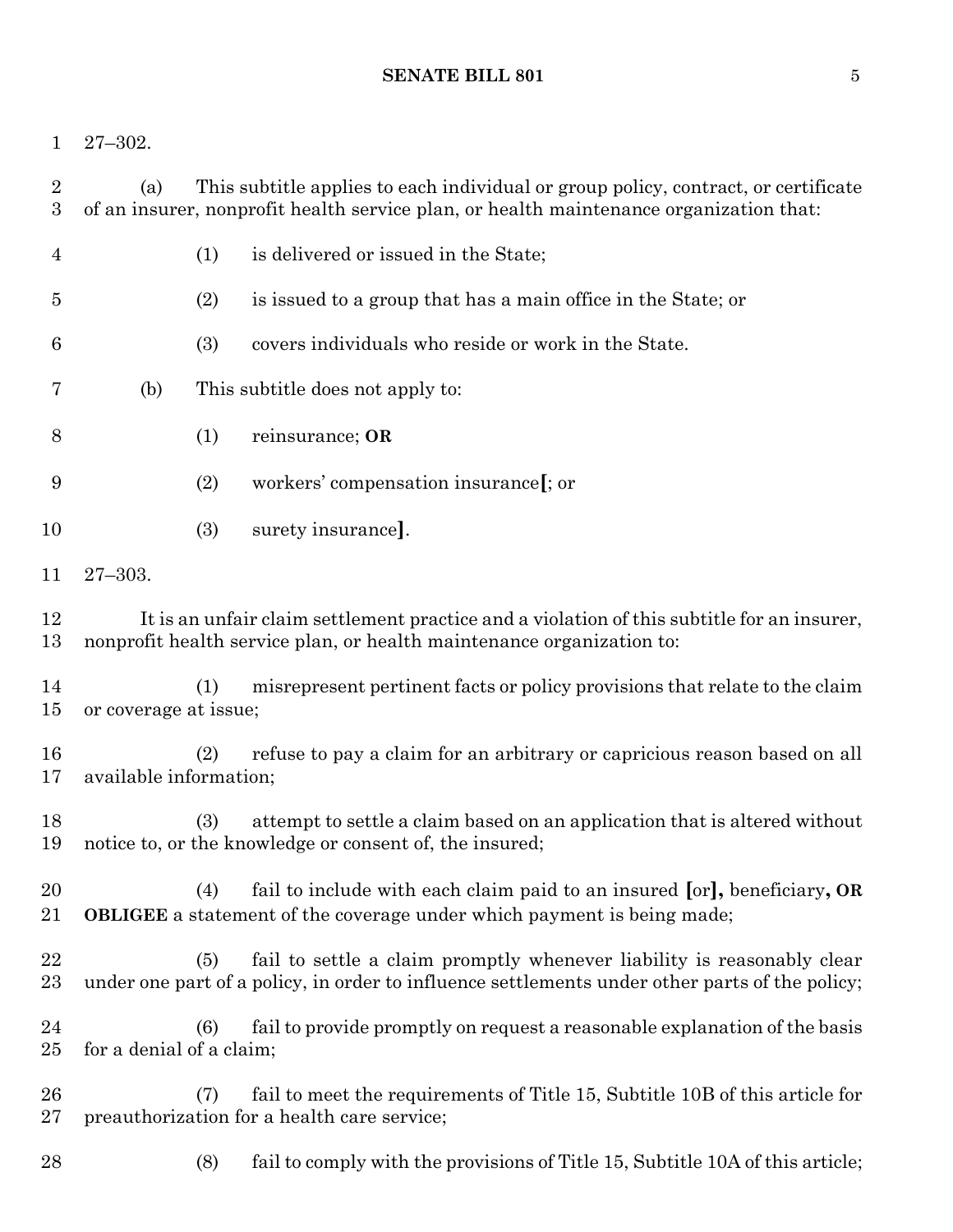27–302.

| $\overline{2}$<br>$\boldsymbol{3}$ | This subtitle applies to each individual or group policy, contract, or certificate<br>(a)<br>of an insurer, nonprofit health service plan, or health maintenance organization that: |     |                                                                                                                                                                          |
|------------------------------------|-------------------------------------------------------------------------------------------------------------------------------------------------------------------------------------|-----|--------------------------------------------------------------------------------------------------------------------------------------------------------------------------|
| $\overline{4}$                     |                                                                                                                                                                                     | (1) | is delivered or issued in the State;                                                                                                                                     |
| $\overline{5}$                     |                                                                                                                                                                                     | (2) | is issued to a group that has a main office in the State; or                                                                                                             |
| 6                                  |                                                                                                                                                                                     | (3) | covers individuals who reside or work in the State.                                                                                                                      |
| 7                                  | (b)                                                                                                                                                                                 |     | This subtitle does not apply to:                                                                                                                                         |
| 8                                  |                                                                                                                                                                                     | (1) | reinsurance; OR                                                                                                                                                          |
| 9                                  |                                                                                                                                                                                     | (2) | workers' compensation insurance [; or                                                                                                                                    |
| 10                                 |                                                                                                                                                                                     | (3) | surety insurance.                                                                                                                                                        |
| 11                                 | $27 - 303.$                                                                                                                                                                         |     |                                                                                                                                                                          |
| 12<br>13                           | It is an unfair claim settlement practice and a violation of this subtitle for an insurer,<br>nonprofit health service plan, or health maintenance organization to:                 |     |                                                                                                                                                                          |
| 14<br>15                           | or coverage at issue;                                                                                                                                                               | (1) | misrepresent pertinent facts or policy provisions that relate to the claim                                                                                               |
| 16<br>17                           | available information;                                                                                                                                                              | (2) | refuse to pay a claim for an arbitrary or capricious reason based on all                                                                                                 |
| 18<br>19                           |                                                                                                                                                                                     | (3) | attempt to settle a claim based on an application that is altered without<br>notice to, or the knowledge or consent of, the insured;                                     |
| 20<br>21                           |                                                                                                                                                                                     | (4) | fail to include with each claim paid to an insured [or], beneficiary, OR<br><b>OBLIGEE</b> a statement of the coverage under which payment is being made;                |
| 22<br>23                           |                                                                                                                                                                                     | (5) | fail to settle a claim promptly whenever liability is reasonably clear<br>under one part of a policy, in order to influence settlements under other parts of the policy; |
| 24<br>$25\,$                       | for a denial of a claim;                                                                                                                                                            | (6) | fail to provide promptly on request a reasonable explanation of the basis                                                                                                |
| 26<br>$27\,$                       |                                                                                                                                                                                     | (7) | fail to meet the requirements of Title 15, Subtitle 10B of this article for<br>preauthorization for a health care service;                                               |
| 28                                 |                                                                                                                                                                                     | (8) | fail to comply with the provisions of Title 15, Subtitle 10A of this article;                                                                                            |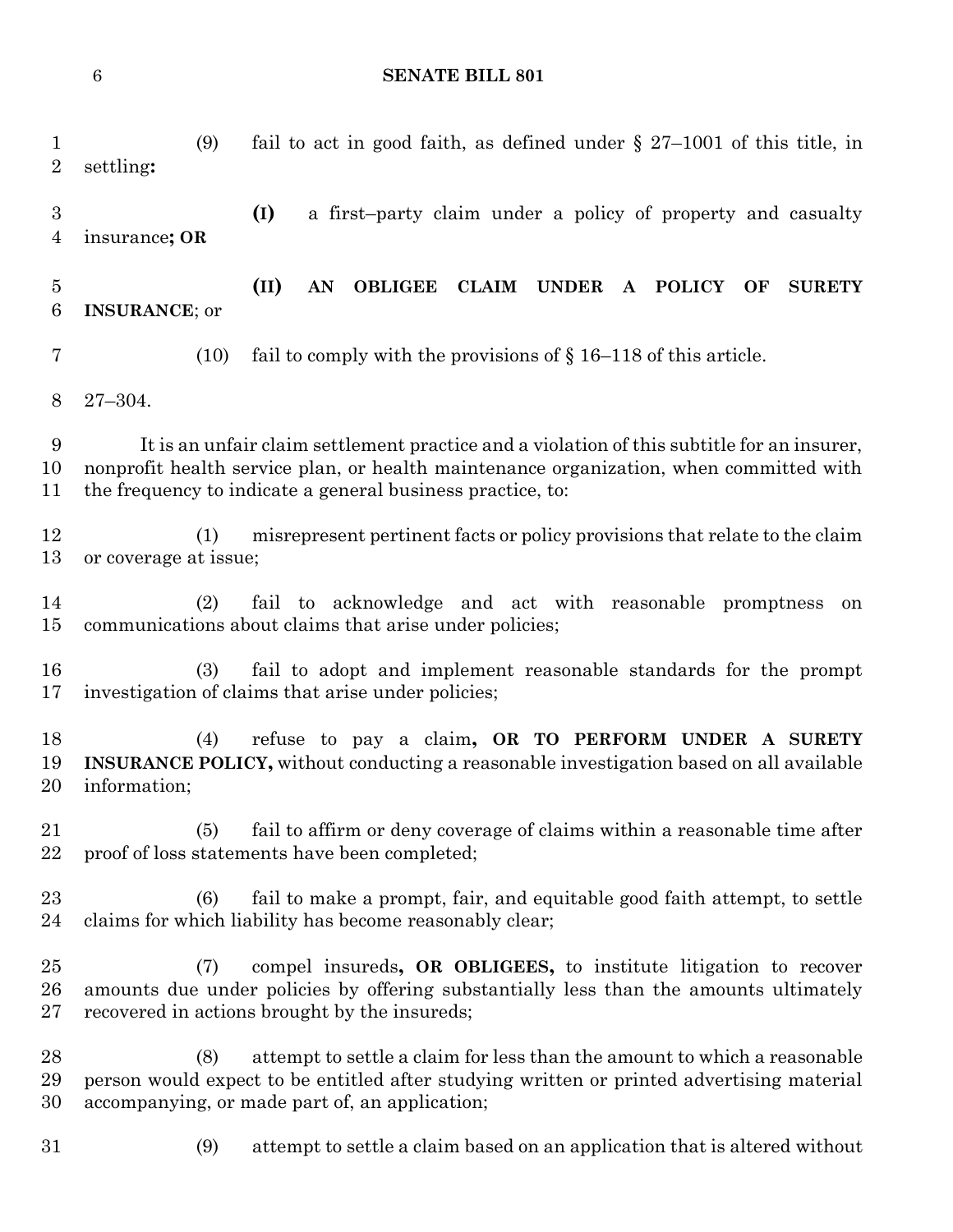(9) fail to act in good faith, as defined under § 27–1001 of this title, in settling**: (I)** a first–party claim under a policy of property and casualty insurance**; OR (II) AN OBLIGEE CLAIM UNDER A POLICY OF SURETY INSURANCE**; or (10) fail to comply with the provisions of § 16–118 of this article. 27–304. It is an unfair claim settlement practice and a violation of this subtitle for an insurer, nonprofit health service plan, or health maintenance organization, when committed with the frequency to indicate a general business practice, to: (1) misrepresent pertinent facts or policy provisions that relate to the claim or coverage at issue; (2) fail to acknowledge and act with reasonable promptness on communications about claims that arise under policies; (3) fail to adopt and implement reasonable standards for the prompt investigation of claims that arise under policies; (4) refuse to pay a claim**, OR TO PERFORM UNDER A SURETY INSURANCE POLICY,** without conducting a reasonable investigation based on all available information; (5) fail to affirm or deny coverage of claims within a reasonable time after proof of loss statements have been completed; (6) fail to make a prompt, fair, and equitable good faith attempt, to settle claims for which liability has become reasonably clear; (7) compel insureds**, OR OBLIGEES,** to institute litigation to recover amounts due under policies by offering substantially less than the amounts ultimately recovered in actions brought by the insureds; (8) attempt to settle a claim for less than the amount to which a reasonable person would expect to be entitled after studying written or printed advertising material accompanying, or made part of, an application; (9) attempt to settle a claim based on an application that is altered without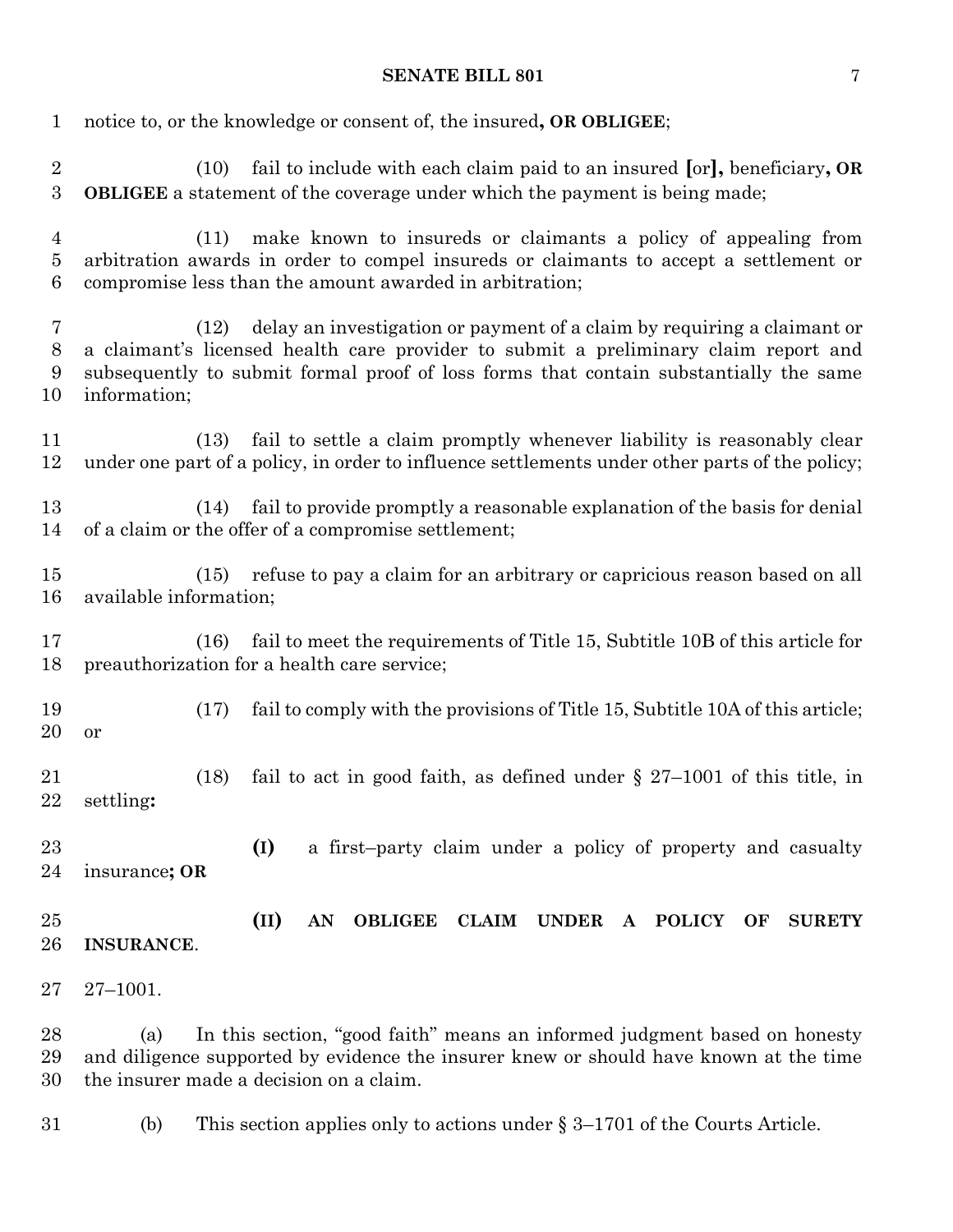| 1                                  | notice to, or the knowledge or consent of, the insured, OR OBLIGEE;                                                                                                                                                                                                             |                                                                                                                                                                          |  |  |
|------------------------------------|---------------------------------------------------------------------------------------------------------------------------------------------------------------------------------------------------------------------------------------------------------------------------------|--------------------------------------------------------------------------------------------------------------------------------------------------------------------------|--|--|
| $\sqrt{2}$<br>$\boldsymbol{3}$     | (10)                                                                                                                                                                                                                                                                            | fail to include with each claim paid to an insured [or], beneficiary, OR<br><b>OBLIGEE</b> a statement of the coverage under which the payment is being made;            |  |  |
| $\overline{4}$<br>$\bf 5$<br>$\,6$ | make known to insureds or claimants a policy of appealing from<br>(11)<br>arbitration awards in order to compel insureds or claimants to accept a settlement or<br>compromise less than the amount awarded in arbitration;                                                      |                                                                                                                                                                          |  |  |
| $\overline{7}$<br>$8\,$<br>9<br>10 | delay an investigation or payment of a claim by requiring a claimant or<br>(12)<br>a claimant's licensed health care provider to submit a preliminary claim report and<br>subsequently to submit formal proof of loss forms that contain substantially the same<br>information; |                                                                                                                                                                          |  |  |
| 11<br>12                           | (13)                                                                                                                                                                                                                                                                            | fail to settle a claim promptly whenever liability is reasonably clear<br>under one part of a policy, in order to influence settlements under other parts of the policy; |  |  |
| 13<br>14                           | (14)                                                                                                                                                                                                                                                                            | fail to provide promptly a reasonable explanation of the basis for denial<br>of a claim or the offer of a compromise settlement;                                         |  |  |
| 15<br>16                           | (15)<br>available information;                                                                                                                                                                                                                                                  | refuse to pay a claim for an arbitrary or capricious reason based on all                                                                                                 |  |  |
| 17<br>18                           | (16)                                                                                                                                                                                                                                                                            | fail to meet the requirements of Title 15, Subtitle 10B of this article for<br>preauthorization for a health care service;                                               |  |  |
| 19<br>20                           | (17)<br>or                                                                                                                                                                                                                                                                      | fail to comply with the provisions of Title 15, Subtitle 10A of this article;                                                                                            |  |  |
| 21<br>22                           | (18)<br>settling:                                                                                                                                                                                                                                                               | fail to act in good faith, as defined under $\S$ 27-1001 of this title, in                                                                                               |  |  |
| 23<br>24                           | insurance; OR                                                                                                                                                                                                                                                                   | a first-party claim under a policy of property and casualty<br>(I)                                                                                                       |  |  |
| 25<br>26                           | <b>INSURANCE.</b>                                                                                                                                                                                                                                                               | (II)<br><b>UNDER</b><br><b>OBLIGEE</b><br><b>CLAIM</b><br><b>POLICY</b><br>AN<br>$\mathbf{A}$<br>OF<br><b>SURETY</b>                                                     |  |  |
| 27                                 | $27 - 1001.$                                                                                                                                                                                                                                                                    |                                                                                                                                                                          |  |  |
| 28<br>29<br>30                     | In this section, "good faith" means an informed judgment based on honesty<br>(a)<br>and diligence supported by evidence the insurer knew or should have known at the time<br>the insurer made a decision on a claim.                                                            |                                                                                                                                                                          |  |  |
| 31                                 | (b)                                                                                                                                                                                                                                                                             | This section applies only to actions under $\S 3-1701$ of the Courts Article.                                                                                            |  |  |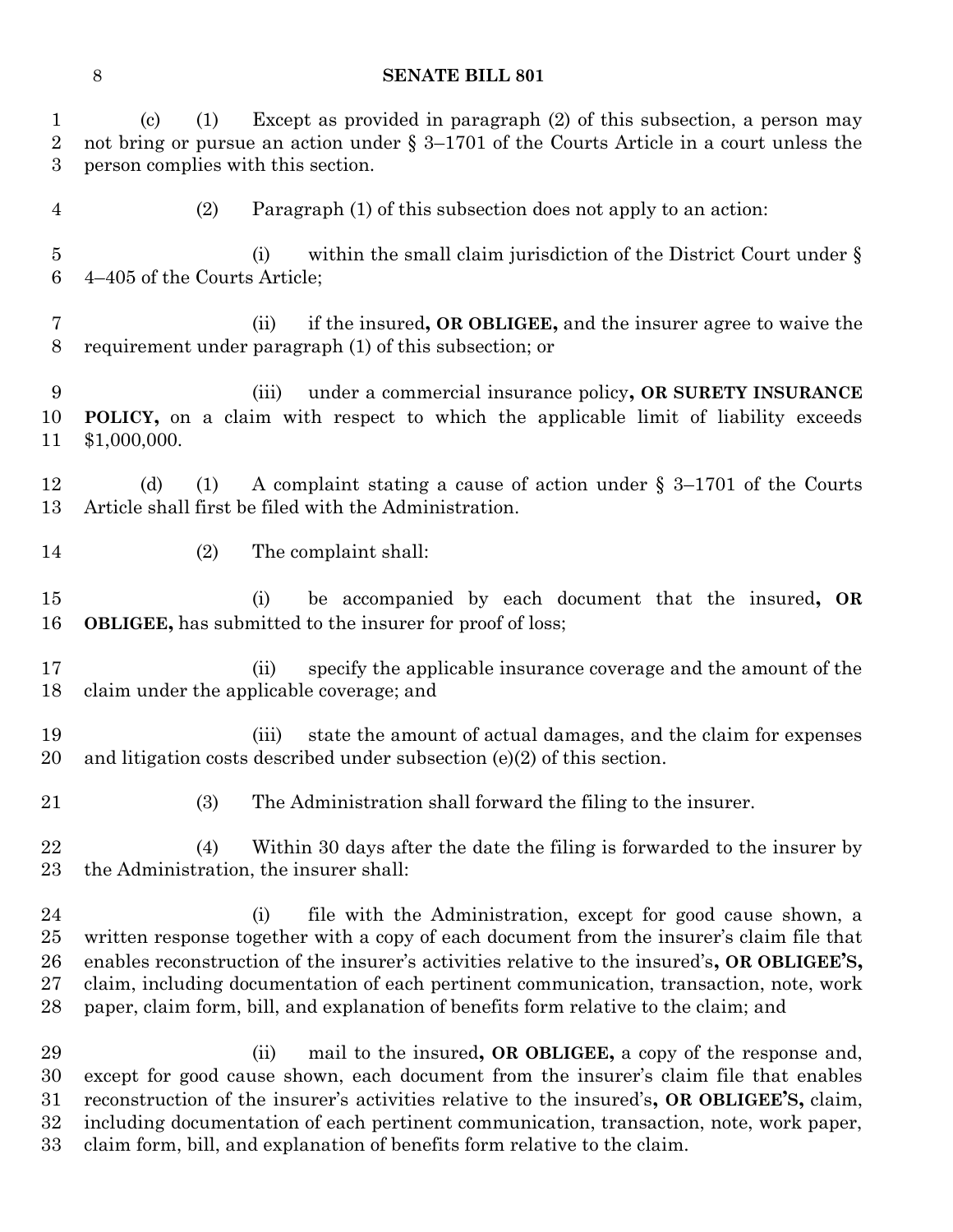| $\mathbf 1$<br>$\boldsymbol{2}$<br>3 | Except as provided in paragraph (2) of this subsection, a person may<br>(1)<br>$\left( \mathrm{c}\right)$<br>not bring or pursue an action under $\S 3-1701$ of the Courts Article in a court unless the<br>person complies with this section.                                                                                                                                                                                                     |
|--------------------------------------|----------------------------------------------------------------------------------------------------------------------------------------------------------------------------------------------------------------------------------------------------------------------------------------------------------------------------------------------------------------------------------------------------------------------------------------------------|
| 4                                    | Paragraph (1) of this subsection does not apply to an action:<br>(2)                                                                                                                                                                                                                                                                                                                                                                               |
| $\overline{5}$<br>6                  | within the small claim jurisdiction of the District Court under $\S$<br>(i)<br>4–405 of the Courts Article;                                                                                                                                                                                                                                                                                                                                        |
| 7<br>8                               | if the insured, OR OBLIGEE, and the insurer agree to waive the<br>(ii)<br>requirement under paragraph (1) of this subsection; or                                                                                                                                                                                                                                                                                                                   |
| 9<br>10<br>11                        | under a commercial insurance policy, OR SURETY INSURANCE<br>(iii)<br>POLICY, on a claim with respect to which the applicable limit of liability exceeds<br>\$1,000,000.                                                                                                                                                                                                                                                                            |
| 12<br>13                             | A complaint stating a cause of action under $\S$ 3-1701 of the Courts<br>(d)<br>(1)<br>Article shall first be filed with the Administration.                                                                                                                                                                                                                                                                                                       |
| 14                                   | (2)<br>The complaint shall:                                                                                                                                                                                                                                                                                                                                                                                                                        |
| 15<br>16                             | be accompanied by each document that the insured, OR<br>(i)<br><b>OBLIGEE</b> , has submitted to the insurer for proof of loss;                                                                                                                                                                                                                                                                                                                    |
| 17<br>18                             | specify the applicable insurance coverage and the amount of the<br>(ii)<br>claim under the applicable coverage; and                                                                                                                                                                                                                                                                                                                                |
| 19<br>20                             | state the amount of actual damages, and the claim for expenses<br>(iii)<br>and litigation costs described under subsection $(e)(2)$ of this section.                                                                                                                                                                                                                                                                                               |
| 21                                   | The Administration shall forward the filing to the insurer.<br>(3)                                                                                                                                                                                                                                                                                                                                                                                 |
| 22<br>23                             | Within 30 days after the date the filing is forwarded to the insurer by<br>(4)<br>the Administration, the insurer shall:                                                                                                                                                                                                                                                                                                                           |
| 24<br>25<br>26<br>27<br>28           | file with the Administration, except for good cause shown, a<br>(i)<br>written response together with a copy of each document from the insurer's claim file that<br>enables reconstruction of the insurer's activities relative to the insured's, OR OBLIGEE'S,<br>claim, including documentation of each pertinent communication, transaction, note, work<br>paper, claim form, bill, and explanation of benefits form relative to the claim; and |
| 29<br>30<br>31<br>32<br>33           | mail to the insured, OR OBLIGEE, a copy of the response and,<br>(ii)<br>except for good cause shown, each document from the insurer's claim file that enables<br>reconstruction of the insurer's activities relative to the insured's, OR OBLIGEE'S, claim,<br>including documentation of each pertinent communication, transaction, note, work paper,<br>claim form, bill, and explanation of benefits form relative to the claim.                |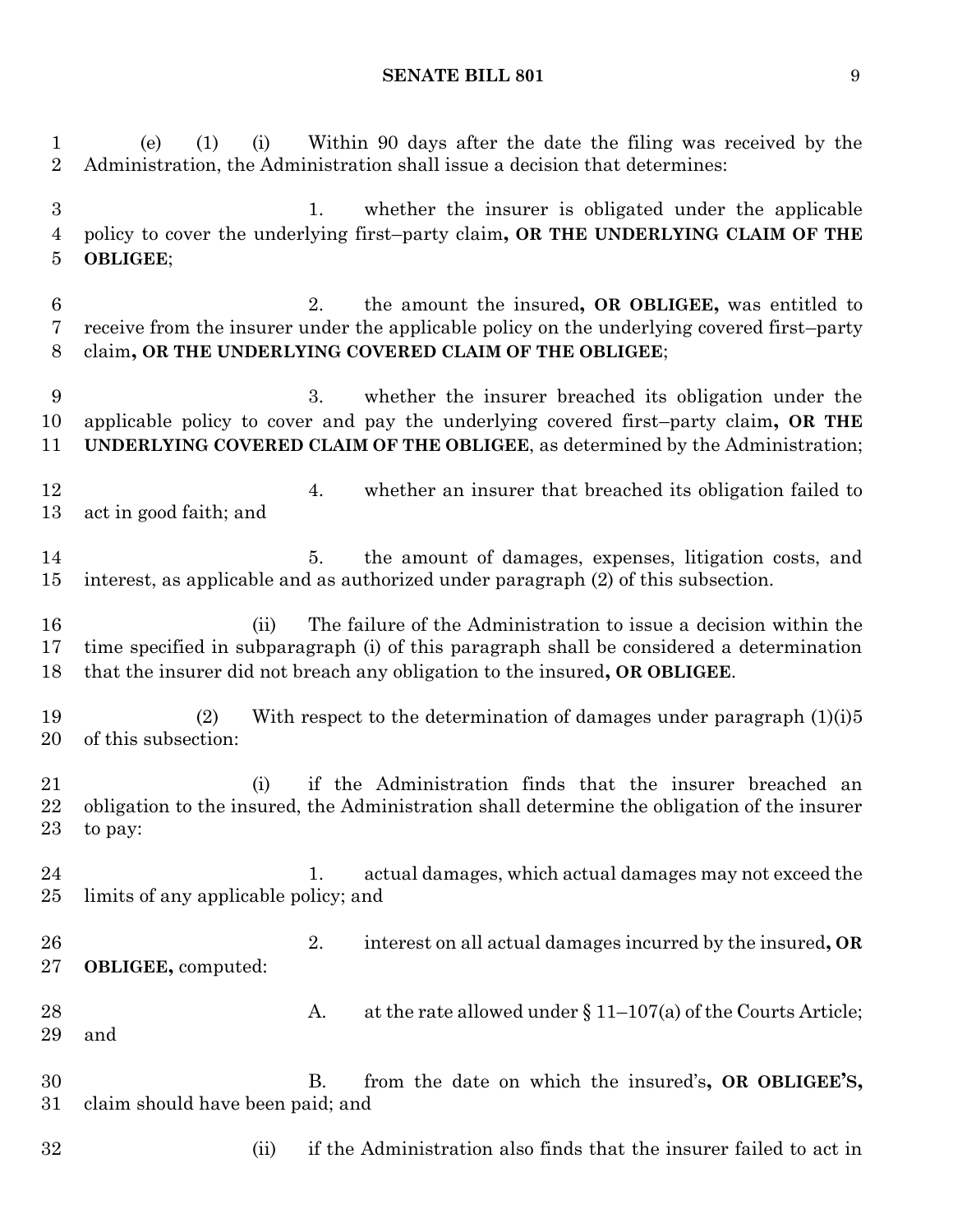(e) (1) (i) Within 90 days after the date the filing was received by the Administration, the Administration shall issue a decision that determines: 1. whether the insurer is obligated under the applicable policy to cover the underlying first–party claim**, OR THE UNDERLYING CLAIM OF THE OBLIGEE**; 2. the amount the insured**, OR OBLIGEE,** was entitled to receive from the insurer under the applicable policy on the underlying covered first–party claim**, OR THE UNDERLYING COVERED CLAIM OF THE OBLIGEE**; 3. whether the insurer breached its obligation under the applicable policy to cover and pay the underlying covered first–party claim**, OR THE UNDERLYING COVERED CLAIM OF THE OBLIGEE**, as determined by the Administration; 12 12 4. whether an insurer that breached its obligation failed to act in good faith; and 5. the amount of damages, expenses, litigation costs, and interest, as applicable and as authorized under paragraph (2) of this subsection. (ii) The failure of the Administration to issue a decision within the time specified in subparagraph (i) of this paragraph shall be considered a determination that the insurer did not breach any obligation to the insured**, OR OBLIGEE**. 19 (2) With respect to the determination of damages under paragraph (1)(i)5 of this subsection: (i) if the Administration finds that the insurer breached an obligation to the insured, the Administration shall determine the obligation of the insurer to pay: 24 1. actual damages, which actual damages may not exceed the limits of any applicable policy; and 2. interest on all actual damages incurred by the insured**, OR OBLIGEE,** computed: 28 A. at the rate allowed under § 11–107(a) of the Courts Article; and B. from the date on which the insured's**, OR OBLIGEE'S,** claim should have been paid; and 32 (ii) if the Administration also finds that the insurer failed to act in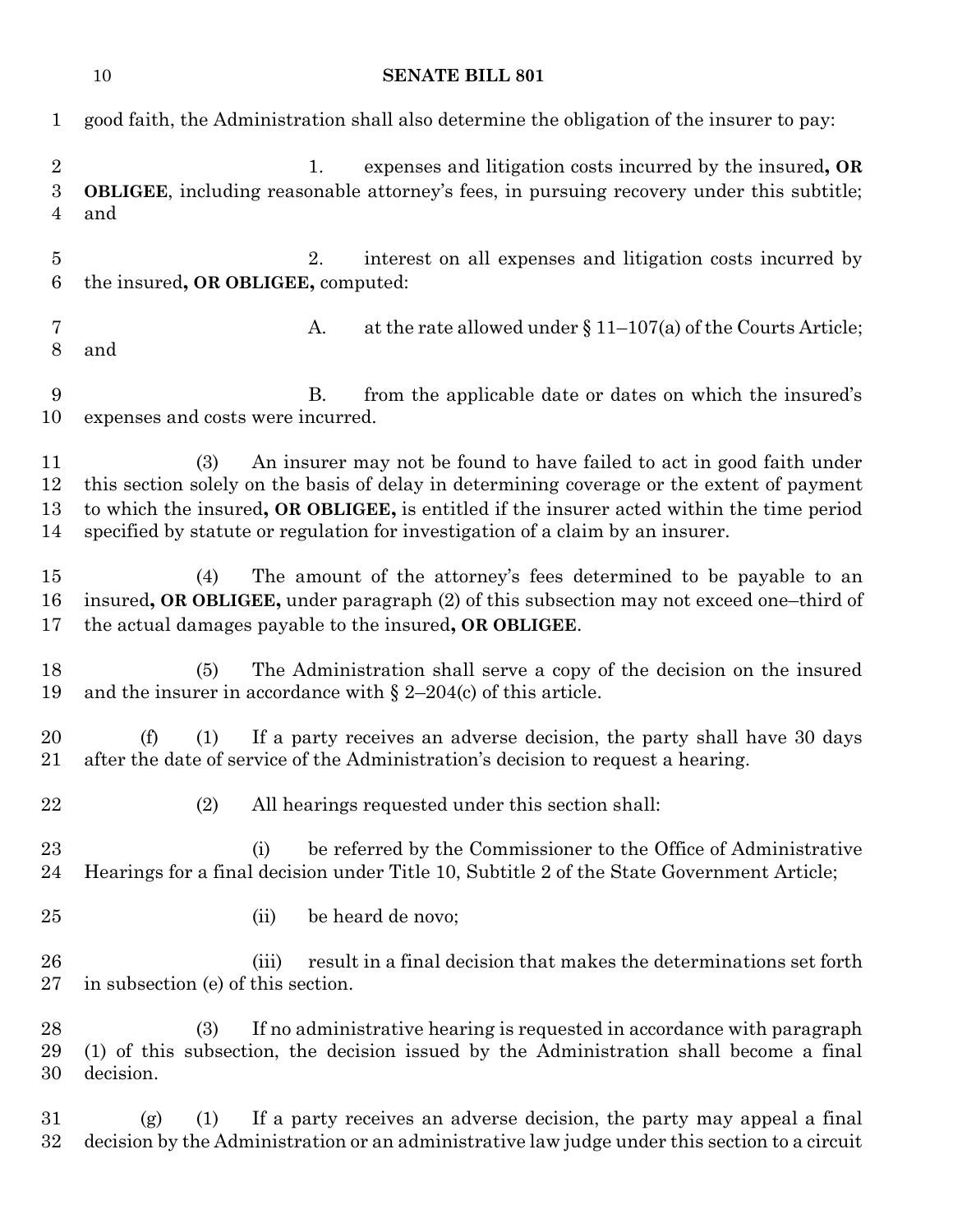|                                       | 10<br><b>SENATE BILL 801</b>                                                                                                                                                                                                                                                                                                                              |  |
|---------------------------------------|-----------------------------------------------------------------------------------------------------------------------------------------------------------------------------------------------------------------------------------------------------------------------------------------------------------------------------------------------------------|--|
| $\mathbf{1}$                          | good faith, the Administration shall also determine the obligation of the insurer to pay:                                                                                                                                                                                                                                                                 |  |
| $\overline{2}$<br>3<br>$\overline{4}$ | expenses and litigation costs incurred by the insured, OR<br>1.<br><b>OBLIGEE</b> , including reasonable attorney's fees, in pursuing recovery under this subtitle;<br>and                                                                                                                                                                                |  |
| $\overline{5}$<br>6                   | interest on all expenses and litigation costs incurred by<br>2.<br>the insured, OR OBLIGEE, computed:                                                                                                                                                                                                                                                     |  |
| 7<br>8                                | at the rate allowed under $\S 11-107(a)$ of the Courts Article;<br>A.<br>and                                                                                                                                                                                                                                                                              |  |
| 9<br>10                               | from the applicable date or dates on which the insured's<br>В.<br>expenses and costs were incurred.                                                                                                                                                                                                                                                       |  |
| 11<br>12<br>13<br>14                  | An insurer may not be found to have failed to act in good faith under<br>(3)<br>this section solely on the basis of delay in determining coverage or the extent of payment<br>to which the insured, OR OBLIGEE, is entitled if the insurer acted within the time period<br>specified by statute or regulation for investigation of a claim by an insurer. |  |
| 15<br>16<br>17                        | The amount of the attorney's fees determined to be payable to an<br>(4)<br>insured, OR OBLIGEE, under paragraph (2) of this subsection may not exceed one-third of<br>the actual damages payable to the insured, OR OBLIGEE.                                                                                                                              |  |
| 18<br>19                              | The Administration shall serve a copy of the decision on the insured<br>(5)<br>and the insurer in accordance with $\S 2-204(c)$ of this article.                                                                                                                                                                                                          |  |
| 20<br>21                              | (f)<br>(1)<br>If a party receives an adverse decision, the party shall have 30 days<br>after the date of service of the Administration's decision to request a hearing.                                                                                                                                                                                   |  |
| 22                                    | (2)<br>All hearings requested under this section shall:                                                                                                                                                                                                                                                                                                   |  |
| 23<br>24                              | be referred by the Commissioner to the Office of Administrative<br>(i)<br>Hearings for a final decision under Title 10, Subtitle 2 of the State Government Article;                                                                                                                                                                                       |  |
| 25                                    | be heard de novo;<br>(ii)                                                                                                                                                                                                                                                                                                                                 |  |
| 26<br>$27\,$                          | result in a final decision that makes the determinations set forth<br>(iii)<br>in subsection (e) of this section.                                                                                                                                                                                                                                         |  |
| 28<br>29<br>30                        | If no administrative hearing is requested in accordance with paragraph<br>(3)<br>(1) of this subsection, the decision issued by the Administration shall become a final<br>decision.                                                                                                                                                                      |  |
| $31\,$<br>$32\,$                      | If a party receives an adverse decision, the party may appeal a final<br>(1)<br>(g)<br>decision by the Administration or an administrative law judge under this section to a circuit                                                                                                                                                                      |  |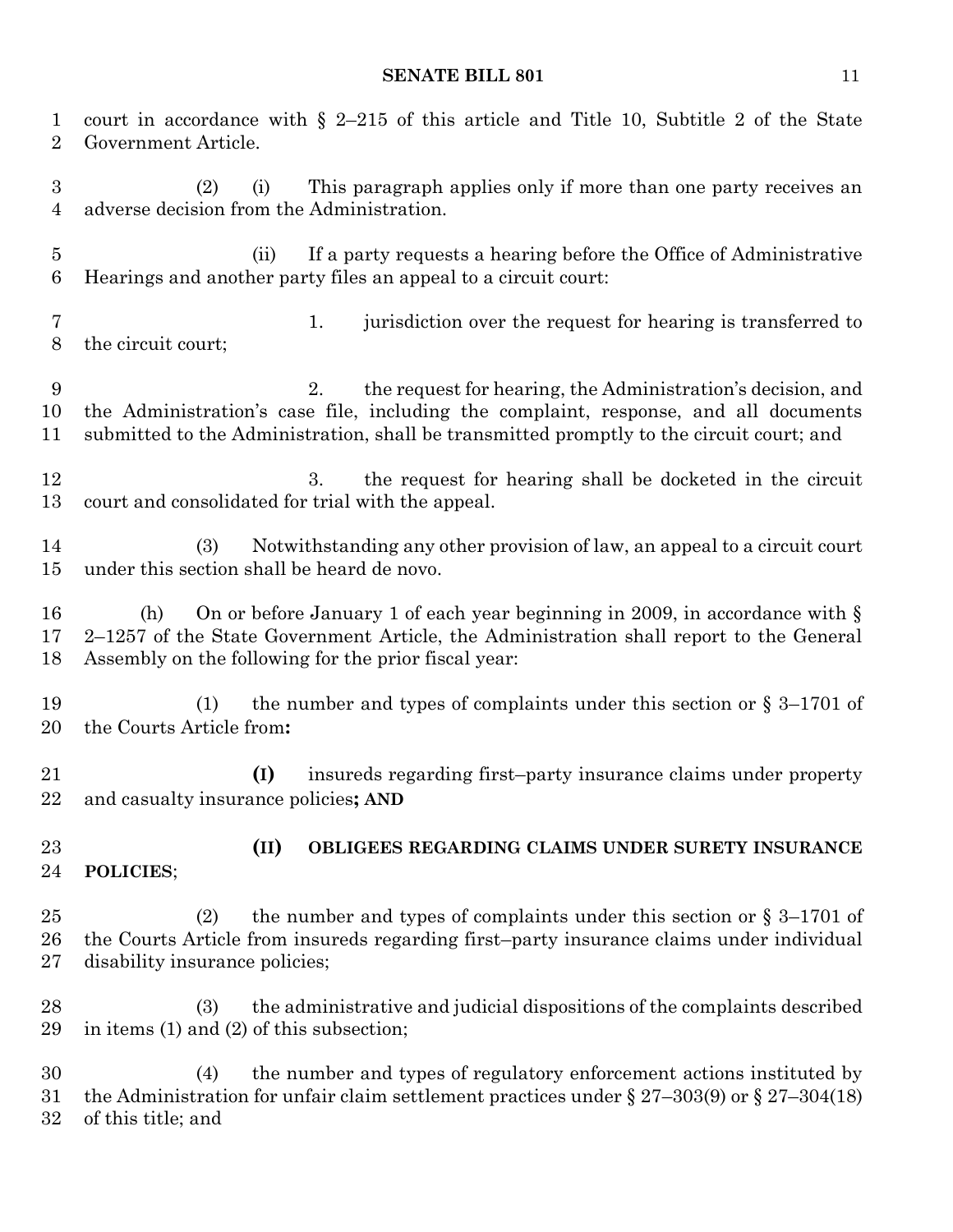court in accordance with § 2–215 of this article and Title 10, Subtitle 2 of the State Government Article. (2) (i) This paragraph applies only if more than one party receives an adverse decision from the Administration. (ii) If a party requests a hearing before the Office of Administrative Hearings and another party files an appeal to a circuit court: 1. jurisdiction over the request for hearing is transferred to the circuit court; 2. the request for hearing, the Administration's decision, and the Administration's case file, including the complaint, response, and all documents submitted to the Administration, shall be transmitted promptly to the circuit court; and 12 3. the request for hearing shall be docketed in the circuit court and consolidated for trial with the appeal. (3) Notwithstanding any other provision of law, an appeal to a circuit court under this section shall be heard de novo. (h) On or before January 1 of each year beginning in 2009, in accordance with § 2–1257 of the State Government Article, the Administration shall report to the General Assembly on the following for the prior fiscal year: 19 (1) the number and types of complaints under this section or  $\S 3-1701$  of the Courts Article from**: (I)** insureds regarding first–party insurance claims under property and casualty insurance policies**; AND (II) OBLIGEES REGARDING CLAIMS UNDER SURETY INSURANCE POLICIES**; 25 (2) the number and types of complaints under this section or  $\S 3-1701$  of the Courts Article from insureds regarding first–party insurance claims under individual disability insurance policies; (3) the administrative and judicial dispositions of the complaints described in items (1) and (2) of this subsection; (4) the number and types of regulatory enforcement actions instituted by the Administration for unfair claim settlement practices under § 27–303(9) or § 27–304(18) of this title; and